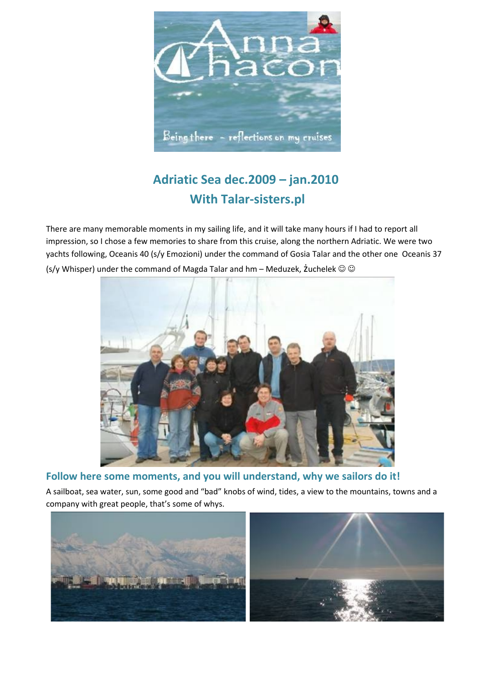

# **Adriatic Sea dec.2009 – jan.2010 With Talar-sisters.pl**

There are many memorable moments in my sailing life, and it will take many hours if I had to report all impression, so I chose a few memories to share from this cruise, along the northern Adriatic. We were two yachts following, Oceanis 40 (s/y Emozioni) under the command of Gosia Talar and the other one Oceanis 37 (s/y Whisper) under the command of Magda Talar and hm – Meduzek,  $\mathsf{z}$ uchelek  $\odot \odot$ 



**Follow here some moments, and you will understand, why we sailors do it!**

A sailboat, sea water, sun, some good and "bad" knobs of wind, tides, a view to the mountains, towns and a company with great people, that's some of whys.

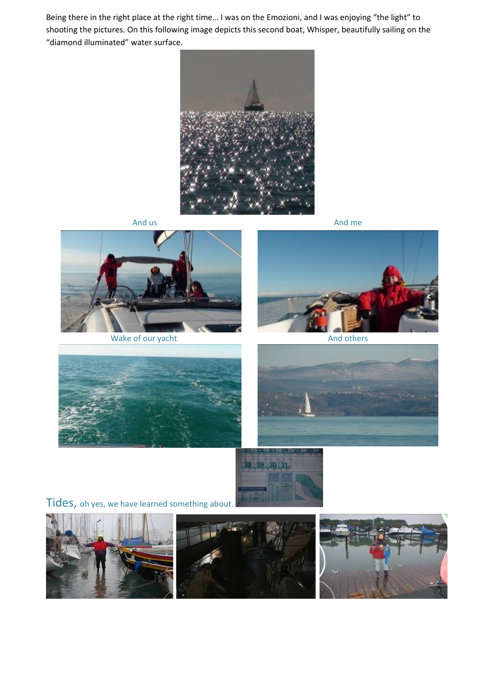Being there in the right place at the right time… I was on the Emozioni, and I was enjoying "the light" to shooting the pictures. On this following image depicts this second boat, Whisper, beautifully sailing on the "diamond illuminated" water surface.





Wake of our yacht And others And others

And us and means a state of the state of the And means and means a state of the And means and means a state of the And means and means a state of the And means and means a state of the And means a state of the And means an









Tides, oh yes, we have learned something about.

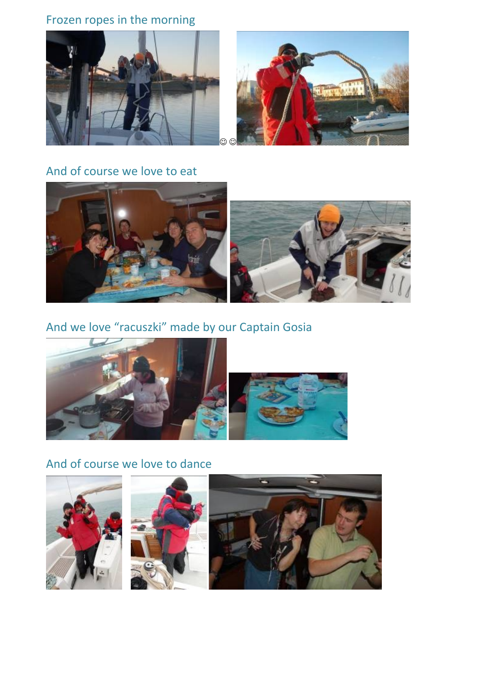### Frozen ropes in the morning



#### And of course we love to eat



### And we love "racuszki" made by our Captain Gosia



### And of course we love to dance





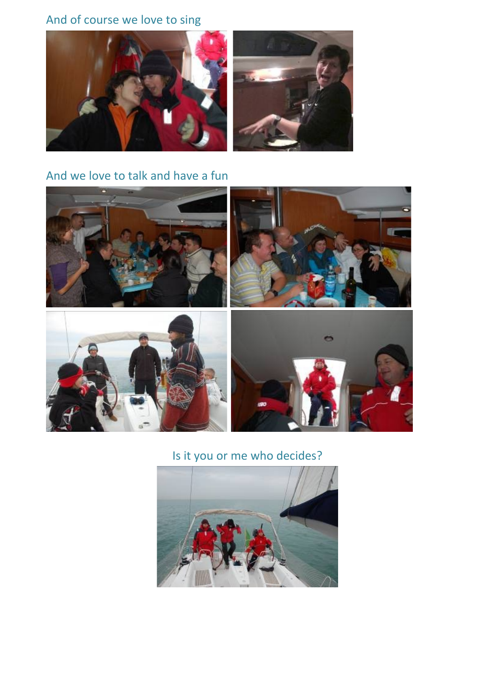## And of course we love to sing



### And we love to talk and have a fun



## Is it you or me who decides?

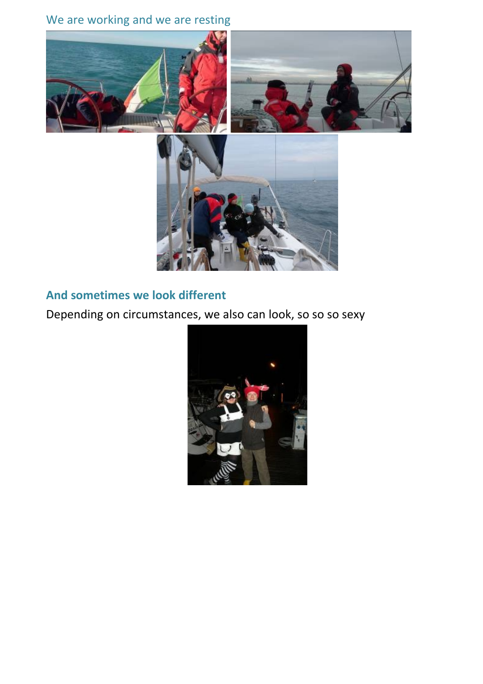## We are working and we are resting







### **And sometimes we look different**

Depending on circumstances, we also can look, so so so sexy

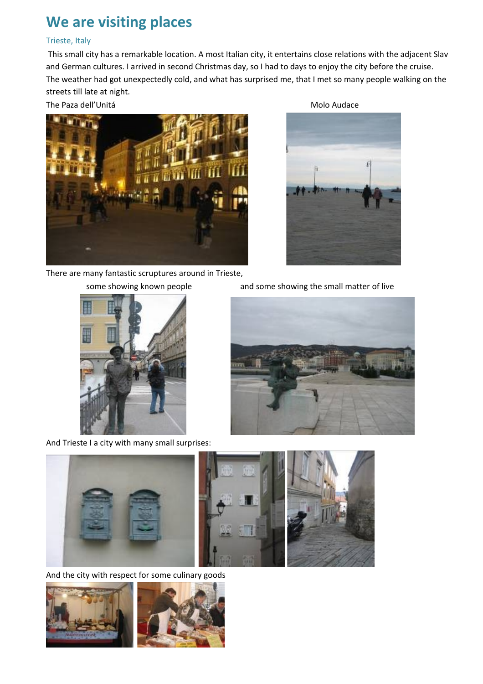# **We are visiting places**

#### Trieste, Italy

 This small city has a remarkable location. A most Italian city, it entertains close relations with the adjacent Slav and German cultures. I arrived in second Christmas day, so I had to days to enjoy the city before the cruise. The weather had got unexpectedly cold, and what has surprised me, that I met so many people walking on the streets till late at night.



There are many fantastic scruptures around in Trieste,



And Trieste I a city with many small surprises:



some showing known people and some showing the small matter of live





And the city with respect for some culinary goods

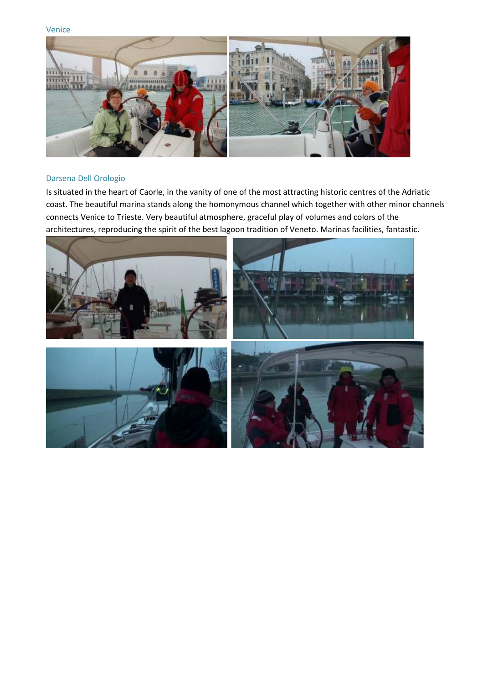Venice



#### Darsena Dell Orologio

Is situated in the heart of Caorle, in the vanity of one of the most attracting historic centres of the Adriatic coast. The beautiful marina stands along the homonymous channel which together with other minor channels connects Venice to Trieste. Very beautiful atmosphere, graceful play of volumes and colors of the architectures, reproducing the spirit of the best lagoon tradition of Veneto. Marinas facilities, fantastic.